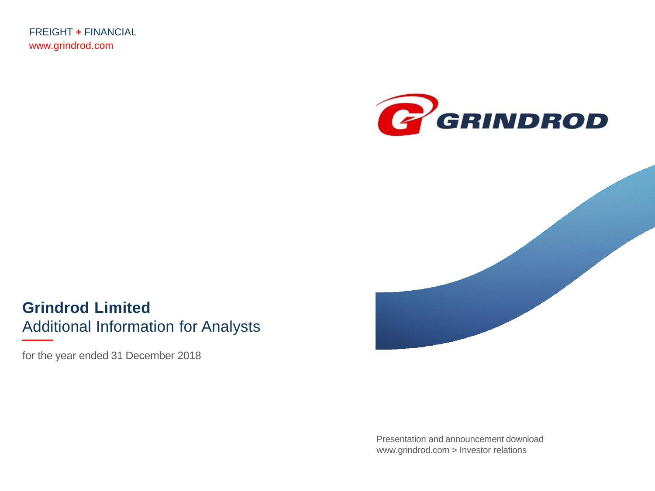FREIGHT **+** FINANCIAL www.grindrod.com





**Grindrod Limited** Additional Information for Analysts

for the year ended 31 December 2018

Presentation and announcement download www.grindrod.com > Investor relations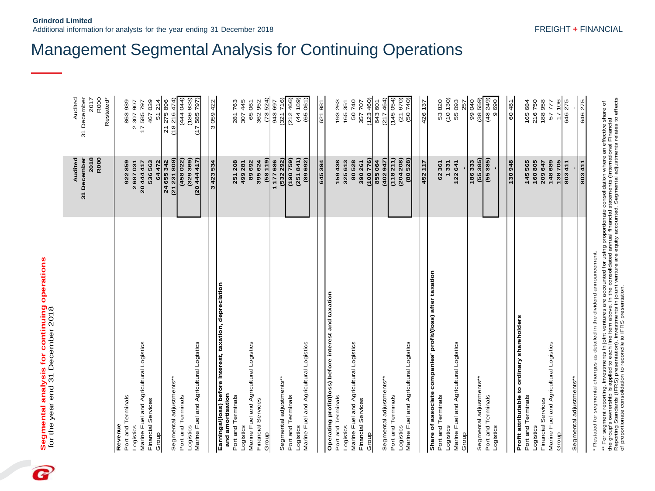B

**Grindrod Limited**

|                                                                             | 2018<br>Audited<br>31 December<br>R000 | 31 December<br>Audited<br>R000<br>2017 |
|-----------------------------------------------------------------------------|----------------------------------------|----------------------------------------|
|                                                                             |                                        | Restated*                              |
| Port and Terminals<br>Revenue                                               | 922859                                 | 863939                                 |
| Logistics                                                                   | 2687031                                | 2 307 907                              |
| Marine Fuel and Agricultural Logistics                                      | 20 444 417                             | 17 585 797                             |
| Financial Services                                                          | 536 563                                | 467039                                 |
| Group                                                                       | 64472                                  | 51214                                  |
|                                                                             | 24 655 342                             | (18216474)<br>21 275 896               |
| Segmental adjustments**                                                     | (21 231 808)                           |                                        |
| Port and Terminals                                                          | (458022)                               | (444 044)                              |
| Marine Fuel and Agricultural Logistics<br>Logistics                         | (329 369)<br>(2044447)                 | (186633)<br>(17585797)                 |
|                                                                             |                                        |                                        |
|                                                                             | 3423534                                | 3 059 422                              |
| Earnings/(loss) before interest, taxation, depreciation<br>and amortisation |                                        |                                        |
| Port and Terminals                                                          | 251 208                                | 281763                                 |
| Logistics                                                                   | 499 281                                | 307 445                                |
| Marine Fuel and Agricultural Logistics                                      | 89692                                  | 65061                                  |
| Financial Services                                                          | 395624                                 | 362952                                 |
| Group                                                                       | (58119)                                | (73524)                                |
|                                                                             | 1177686                                | 943697                                 |
| Segmental adjustments**                                                     | 292)<br>(532)                          | (321716)                               |
| Port and Terminals                                                          | (190759)                               | (212466)                               |
| Logistics                                                                   | (251841)                               | (44 189)                               |
| Marine Fuel and Agricultural Logistics                                      | (89692)                                | (65061                                 |
|                                                                             | 645394                                 | 621981                                 |
| Operating profit/(loss) before interest and taxation                        |                                        |                                        |
| Port and Terminals                                                          | 159438                                 | 193263                                 |
| Logistics                                                                   | 325613                                 | 165351                                 |
| Marine Fuel and Agricultural Logistics                                      | 80528                                  | 50740                                  |
| Financial Services                                                          | 390 261                                | 357707                                 |
| Group                                                                       | (100 776)                              | (123, 460)                             |
|                                                                             | 855064                                 | 643 601                                |
| Segmental adjustments**                                                     | (402947)                               | (217464)                               |
| Port and Terminals                                                          | (118211)                               | (145054)                               |
| Logistics                                                                   | (204 208)                              | (21670)                                |
| Marine Fuel and Agricultural Logistics                                      | (80528)                                | (5077)                                 |
|                                                                             | 452 117                                | 426 137                                |
| Share of associate companies' profit/(loss) after taxation                  |                                        |                                        |
| Port and Terminals                                                          | 62361                                  | 53820                                  |
| Logistics                                                                   | 1331                                   | (10130)                                |
| Marine Fuel and Agricultural Logistics                                      | 122641                                 | 55093                                  |
| Group                                                                       |                                        | 257                                    |
|                                                                             | 186333                                 | 99040                                  |
| Segmental adjustments**                                                     | 385)<br>(55)                           | (38559)                                |
| Port and Terminals<br>Logistics                                             | (55385)                                | (48249)<br>9690                        |
|                                                                             |                                        |                                        |
|                                                                             | 130948                                 | 60481                                  |
| Profit attributable to ordinary shareholders                                |                                        |                                        |
| Port and Terminals                                                          | 145565                                 | 165 684                                |
| Logistics                                                                   | 160805                                 | 216750                                 |
| Financial Services                                                          | 209647                                 | 188958                                 |
| Marine Fuel and Agricultural Logistics                                      | 148689                                 | 57 777                                 |
| Group                                                                       | 138 705<br>803 411                     | 17106<br>646 275                       |
| Segmental adjustments**                                                     |                                        |                                        |
|                                                                             | 803411                                 | 646275                                 |
|                                                                             |                                        |                                        |

## Management Segmental Analysis for Continuing Operations

\*\* For segment reporting, investments in joint ventures are accounted for using proportionate consolidation where an effective share of<br>the group's ownership is applied to each line item above. In the consolidated annual Reporting Standards (IFRS) presentation), investments in joiunt venture are equity accounted. Segmental adjustments relates to effects \*\* For segment reporting, investments in joint ventures are accounted for using proportionate consolidation where an effective share of the group's ownership is applied to each line item above. In the consolidated annual financial statements (International Financial of proportionate consolidation to reconcile to IFRS presentation.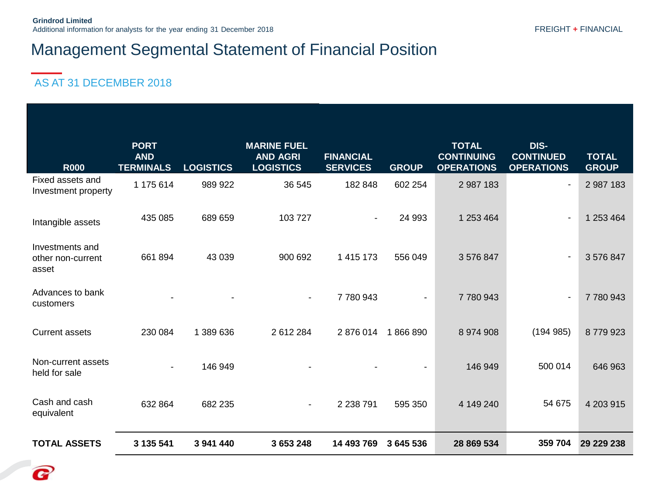#### AS AT 31 DECEMBER 2018

Q

| <b>R000</b>                                   | <b>PORT</b><br><b>AND</b><br><b>TERMINALS</b> | <b>LOGISTICS</b> | <b>MARINE FUEL</b><br><b>AND AGRI</b><br><b>LOGISTICS</b> | <b>FINANCIAL</b><br><b>SERVICES</b> | <b>GROUP</b> | <b>TOTAL</b><br><b>CONTINUING</b><br><b>OPERATIONS</b> | DIS-<br><b>CONTINUED</b><br><b>OPERATIONS</b> | <b>TOTAL</b><br><b>GROUP</b> |
|-----------------------------------------------|-----------------------------------------------|------------------|-----------------------------------------------------------|-------------------------------------|--------------|--------------------------------------------------------|-----------------------------------------------|------------------------------|
| Fixed assets and<br>Investment property       | 1 175 614                                     | 989 922          | 36 545                                                    | 182 848                             | 602 254      | 2 987 183                                              |                                               | 2 987 183                    |
| Intangible assets                             | 435 085                                       | 689 659          | 103727                                                    | $\blacksquare$                      | 24 993       | 1 253 464                                              |                                               | 1 253 464                    |
| Investments and<br>other non-current<br>asset | 661894                                        | 43 039           | 900 692                                                   | 1 415 173                           | 556 049      | 3 576 847                                              |                                               | 3 576 847                    |
| Advances to bank<br>customers                 |                                               |                  | $\sim$                                                    | 7780943                             |              | 7 780 943                                              | $\blacksquare$                                | 7780943                      |
| <b>Current assets</b>                         | 230 084                                       | 1 389 636        | 2 612 284                                                 | 2876014                             | 1866890      | 8 974 908                                              | (194985)                                      | 8779923                      |
| Non-current assets<br>held for sale           |                                               | 146 949          |                                                           |                                     |              | 146 949                                                | 500 014                                       | 646 963                      |
| Cash and cash<br>equivalent                   | 632 864                                       | 682 235          | $\sim$                                                    | 2 2 3 7 9 1                         | 595 350      | 4 149 240                                              | 54 675                                        | 4 203 915                    |
| <b>TOTAL ASSETS</b>                           | 3 135 541                                     | 3 941 440        | 3 653 248                                                 | 14 493 769                          | 3 645 536    | 28 869 534                                             | 359 704                                       | 29 229 238                   |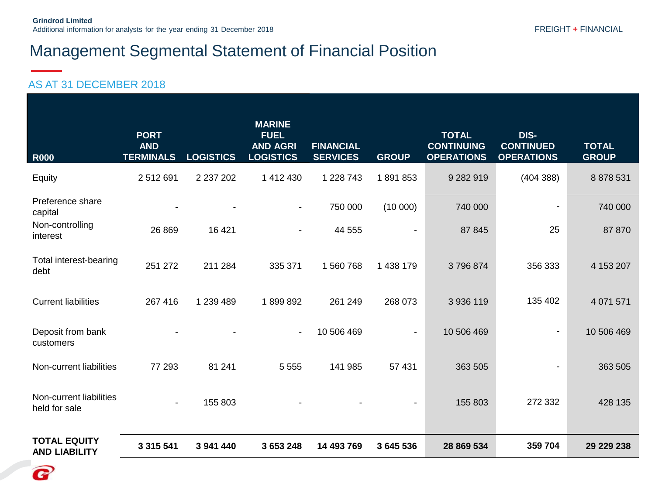| <b>R000</b>                                                | <b>PORT</b><br><b>AND</b><br><b>TERMINALS</b> | <b>LOGISTICS</b> | <b>MARINE</b><br><b>FUEL</b><br><b>AND AGRI</b><br><b>LOGISTICS</b> | <b>FINANCIAL</b><br><b>SERVICES</b> | <b>GROUP</b> | <b>TOTAL</b><br><b>CONTINUING</b><br><b>OPERATIONS</b> | DIS-<br><b>CONTINUED</b><br><b>OPERATIONS</b> | <b>TOTAL</b><br><b>GROUP</b> |
|------------------------------------------------------------|-----------------------------------------------|------------------|---------------------------------------------------------------------|-------------------------------------|--------------|--------------------------------------------------------|-----------------------------------------------|------------------------------|
| Equity                                                     | 2 512 691                                     | 2 237 202        | 1 412 430                                                           | 1 228 743                           | 1891853      | 9 282 919                                              | (404388)                                      | 8 878 531                    |
| Preference share<br>capital<br>Non-controlling<br>interest | 26 869                                        | 16 4 21          | $\blacksquare$<br>$\overline{\phantom{a}}$                          | 750 000<br>44 555                   | (10000)      | 740 000<br>87 845                                      | 25                                            | 740 000<br>87 870            |
| Total interest-bearing<br>debt                             | 251 272                                       | 211 284          | 335 371                                                             | 1 560 768                           | 1 438 179    | 3796874                                                | 356 333                                       | 4 153 207                    |
| <b>Current liabilities</b>                                 | 267 416                                       | 1 239 489        | 1899892                                                             | 261 249                             | 268 073      | 3 936 119                                              | 135 402                                       | 4 0 71 5 71                  |
| Deposit from bank<br>customers                             |                                               |                  | $\overline{\phantom{a}}$                                            | 10 506 469                          | ٠            | 10 506 469                                             | $\blacksquare$                                | 10 506 469                   |
| Non-current liabilities                                    | 77 293                                        | 81 241           | 5 5 5 5                                                             | 141 985                             | 57 431       | 363 505                                                | $\blacksquare$                                | 363 505                      |
| Non-current liabilities<br>held for sale                   | ٠                                             | 155 803          |                                                                     |                                     |              | 155 803                                                | 272 332                                       | 428 135                      |
| <b>TOTAL EQUITY</b><br><b>AND LIABILITY</b>                | 3 3 1 5 5 4 1                                 | 3 941 440        | 3 653 248                                                           | 14 493 769                          | 3 645 536    | 28 869 534                                             | 359 704                                       | 29 229 238                   |

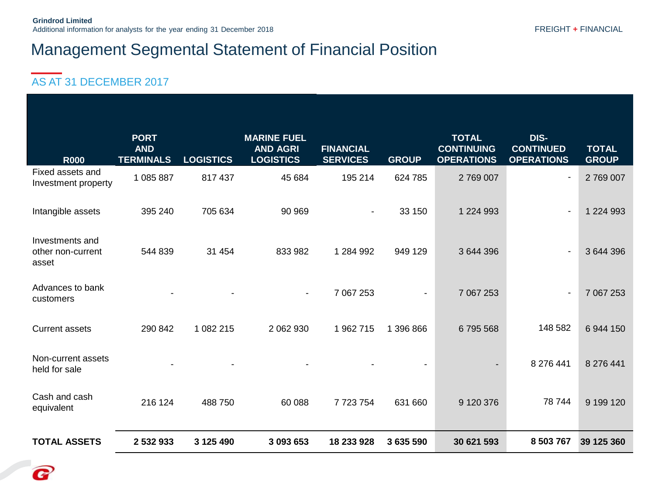#### AS AT 31 DECEMBER 2017

P

| <b>R000</b>                                   | <b>PORT</b><br><b>AND</b><br><b>TERMINALS</b> | <b>LOGISTICS</b> | <b>MARINE FUEL</b><br><b>AND AGRI</b><br><b>LOGISTICS</b> | <b>FINANCIAL</b><br><b>SERVICES</b> | <b>GROUP</b> | <b>TOTAL</b><br><b>CONTINUING</b><br><b>OPERATIONS</b> | DIS-<br><b>CONTINUED</b><br><b>OPERATIONS</b> | <b>TOTAL</b><br><b>GROUP</b> |
|-----------------------------------------------|-----------------------------------------------|------------------|-----------------------------------------------------------|-------------------------------------|--------------|--------------------------------------------------------|-----------------------------------------------|------------------------------|
| Fixed assets and<br>Investment property       | 1 085 887                                     | 817 437          | 45 684                                                    | 195 214                             | 624 785      | 2769007                                                |                                               | 2769007                      |
| Intangible assets                             | 395 240                                       | 705 634          | 90 969                                                    | $\blacksquare$                      | 33 150       | 1 2 2 4 9 9 3                                          |                                               | 1 2 2 4 9 9 3                |
| Investments and<br>other non-current<br>asset | 544 839                                       | 31 454           | 833 982                                                   | 1 284 992                           | 949 129      | 3 644 396                                              |                                               | 3 644 396                    |
| Advances to bank<br>customers                 |                                               |                  | $\blacksquare$                                            | 7 067 253                           |              | 7 067 253                                              |                                               | 7 067 253                    |
| <b>Current assets</b>                         | 290 842                                       | 1 082 215        | 2 062 930                                                 | 1 962 715                           | 1 396 866    | 6795568                                                | 148 582                                       | 6 944 150                    |
| Non-current assets<br>held for sale           |                                               |                  |                                                           |                                     |              |                                                        | 8 276 441                                     | 8 276 441                    |
| Cash and cash<br>equivalent                   | 216 124                                       | 488 750          | 60 088                                                    | 7723754                             | 631 660      | 9 120 376                                              | 78 744                                        | 9 199 120                    |
| <b>TOTAL ASSETS</b>                           | 2 532 933                                     | 3 125 490        | 3 093 653                                                 | 18 233 928                          | 3 635 590    | 30 621 593                                             | 8 503 767                                     | 39 125 360                   |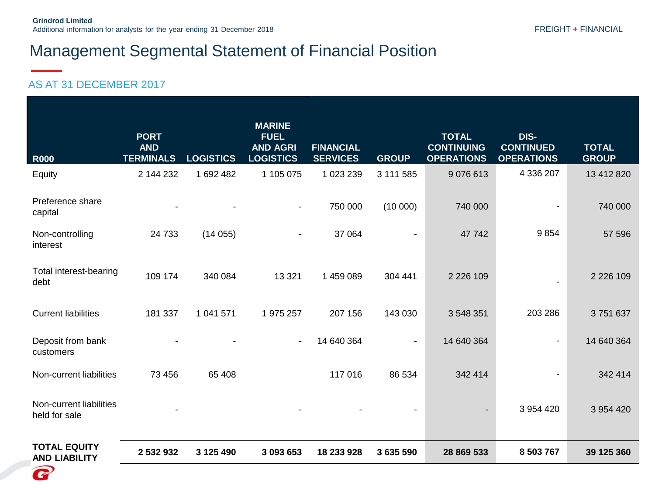| <b>R000</b>                                 | <b>PORT</b><br><b>AND</b><br><b>TERMINALS</b> | <b>LOGISTICS</b> | <b>MARINE</b><br><b>FUEL</b><br><b>AND AGRI</b><br><b>LOGISTICS</b> | <b>FINANCIAL</b><br><b>SERVICES</b> | <b>GROUP</b>   | <b>TOTAL</b><br><b>CONTINUING</b><br><b>OPERATIONS</b> | DIS-<br><b>CONTINUED</b><br><b>OPERATIONS</b> | <b>TOTAL</b><br><b>GROUP</b> |
|---------------------------------------------|-----------------------------------------------|------------------|---------------------------------------------------------------------|-------------------------------------|----------------|--------------------------------------------------------|-----------------------------------------------|------------------------------|
| Equity                                      | 2 144 232                                     | 1 692 482        | 1 105 075                                                           | 1 023 239                           | 3 111 585      | 9076613                                                | 4 336 207                                     | 13 412 820                   |
| Preference share<br>capital                 |                                               |                  | $\blacksquare$                                                      | 750 000                             | (10000)        | 740 000                                                |                                               | 740 000                      |
| Non-controlling<br>interest                 | 24 733                                        | (14055)          |                                                                     | 37 064                              |                | 47742                                                  | 9854                                          | 57 596                       |
| Total interest-bearing<br>debt              | 109 174                                       | 340 084          | 13 3 21                                                             | 1 459 089                           | 304 441        | 2 2 2 6 1 0 9                                          |                                               | 2 2 2 6 1 0 9                |
| <b>Current liabilities</b>                  | 181 337                                       | 1 041 571        | 1 975 257                                                           | 207 156                             | 143 030        | 3 548 351                                              | 203 286                                       | 3751637                      |
| Deposit from bank<br>customers              |                                               |                  | $\blacksquare$                                                      | 14 640 364                          | $\blacksquare$ | 14 640 364                                             | $\blacksquare$                                | 14 640 364                   |
| Non-current liabilities                     | 73 456                                        | 65 408           |                                                                     | 117016                              | 86 534         | 342 414                                                |                                               | 342 414                      |
| Non-current liabilities<br>held for sale    |                                               |                  |                                                                     |                                     |                | $\overline{\phantom{a}}$                               | 3 954 420                                     | 3 954 420                    |
| <b>TOTAL EQUITY</b><br><b>AND LIABILITY</b> | 2 532 932                                     | 3 125 490        | 3 093 653                                                           | 18 233 928                          | 3 635 590      | 28 869 533                                             | 8 503 767                                     | 39 125 360                   |
| $\boldsymbol{e}$                            |                                               |                  |                                                                     |                                     |                |                                                        |                                               |                              |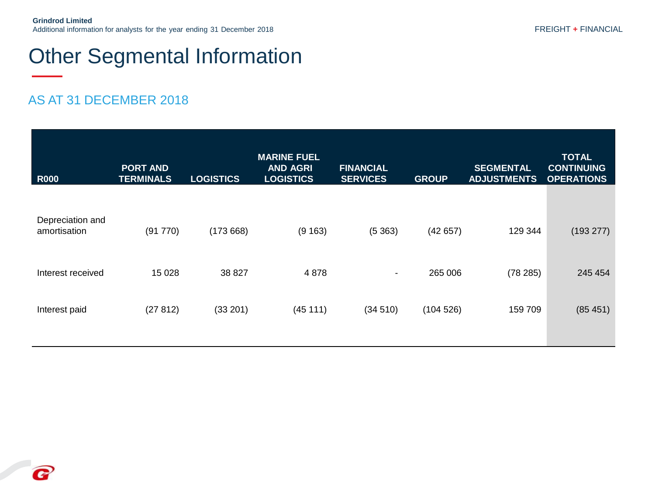## Other Segmental Information

| <b>R000</b>                      | <b>PORT AND</b><br><b>TERMINALS</b> | <b>LOGISTICS</b> | <b>MARINE FUEL</b><br><b>AND AGRI</b><br><b>LOGISTICS</b> | <b>FINANCIAL</b><br><b>SERVICES</b> | <b>GROUP</b> | <b>SEGMENTAL</b><br><b>ADJUSTMENTS</b> | <b>TOTAL</b><br><b>CONTINUING</b><br><b>OPERATIONS</b> |
|----------------------------------|-------------------------------------|------------------|-----------------------------------------------------------|-------------------------------------|--------------|----------------------------------------|--------------------------------------------------------|
| Depreciation and<br>amortisation | (91770)                             | (173668)         | (9163)                                                    | (5363)                              | (42657)      | 129 344                                | (193 277)                                              |
| Interest received                | 15 0 28                             | 38 827           | 4 8 7 8                                                   | $\overline{\phantom{a}}$            | 265 006      | (78 285)                               | 245 454                                                |
| Interest paid                    | (27812)                             | (33 201)         | (45111)                                                   | (34510)                             | (104526)     | 159 709                                | (85451)                                                |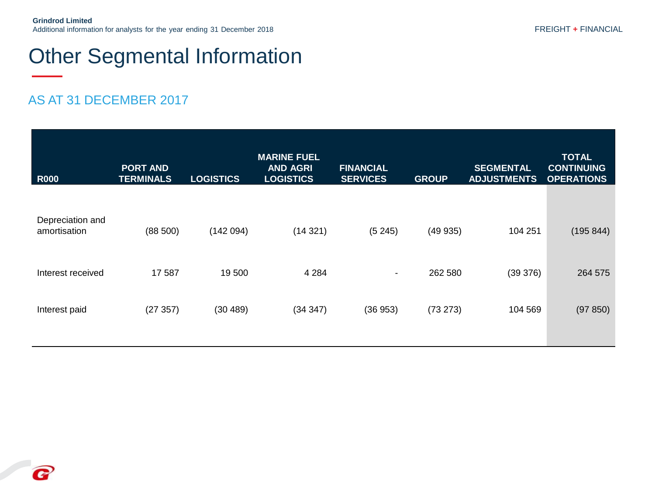## Other Segmental Information

| <b>R000</b>       | <b>PORT AND</b><br><b>TERMINALS</b> | <b>LOGISTICS</b> | <b>MARINE FUEL</b><br><b>AND AGRI</b><br><b>LOGISTICS</b> | <b>FINANCIAL</b><br><b>SERVICES</b> | <b>GROUP</b> | <b>SEGMENTAL</b><br><b>ADJUSTMENTS</b> | <b>TOTAL</b><br><b>CONTINUING</b><br><b>OPERATIONS</b> |
|-------------------|-------------------------------------|------------------|-----------------------------------------------------------|-------------------------------------|--------------|----------------------------------------|--------------------------------------------------------|
| Depreciation and  |                                     |                  |                                                           |                                     |              |                                        |                                                        |
| amortisation      | (88 500)                            | (142094)         | (14321)                                                   | (5245)                              | (49935)      | 104 251                                | (195 844)                                              |
| Interest received | 17 587                              | 19 500           | 4 2 8 4                                                   | $\overline{\phantom{a}}$            | 262 580      | (39 376)                               | 264 575                                                |
| Interest paid     | (27357)                             | (30 489)         | (34347)                                                   | (36953)                             | (73 273)     | 104 569                                | (97 850)                                               |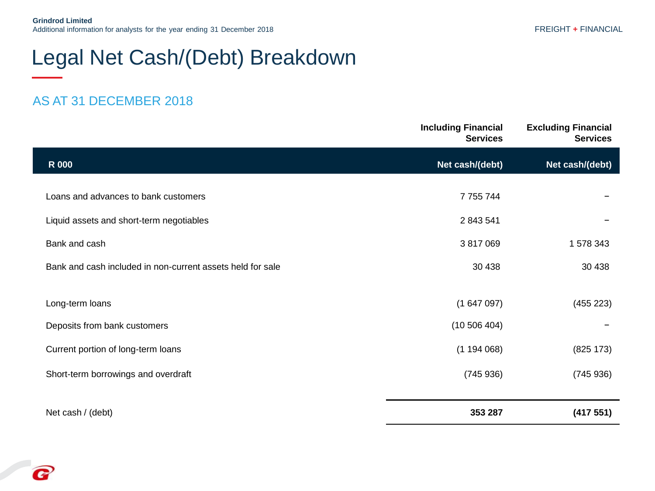## Legal Net Cash/(Debt) Breakdown

|                                                            | <b>Including Financial</b><br><b>Services</b> | <b>Excluding Financial</b><br><b>Services</b> |
|------------------------------------------------------------|-----------------------------------------------|-----------------------------------------------|
| <b>R</b> 000                                               | Net cash/(debt)                               | Net cash/(debt)                               |
| Loans and advances to bank customers                       | 7 7 5 7 7 4 4                                 |                                               |
| Liquid assets and short-term negotiables                   | 2 843 541                                     |                                               |
| Bank and cash                                              | 3 817 069                                     | 1 578 343                                     |
| Bank and cash included in non-current assets held for sale | 30 4 38                                       | 30 4 38                                       |
|                                                            |                                               |                                               |
| Long-term loans                                            | (1647097)                                     | (455 223)                                     |
| Deposits from bank customers                               | (10 506 404)                                  |                                               |
| Current portion of long-term loans                         | (1194068)                                     | (825 173)                                     |
| Short-term borrowings and overdraft                        | (745936)                                      | (745936)                                      |
|                                                            |                                               |                                               |
| Net cash / (debt)                                          | 353 287                                       | (417551)                                      |